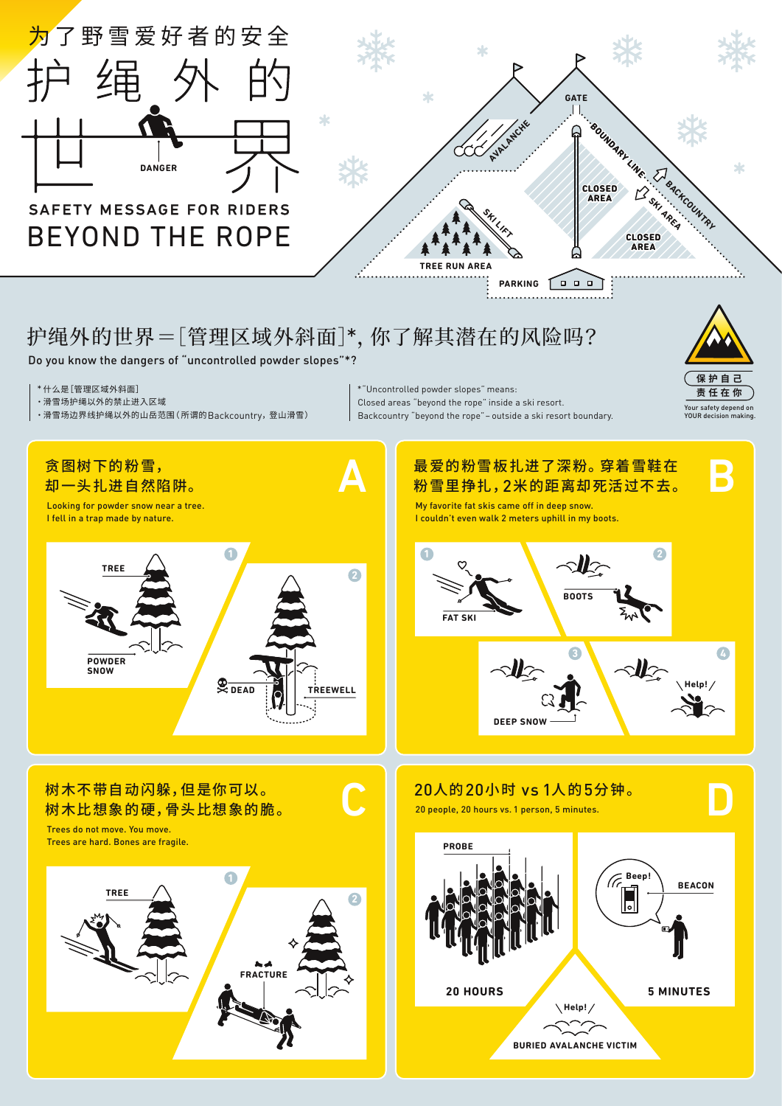